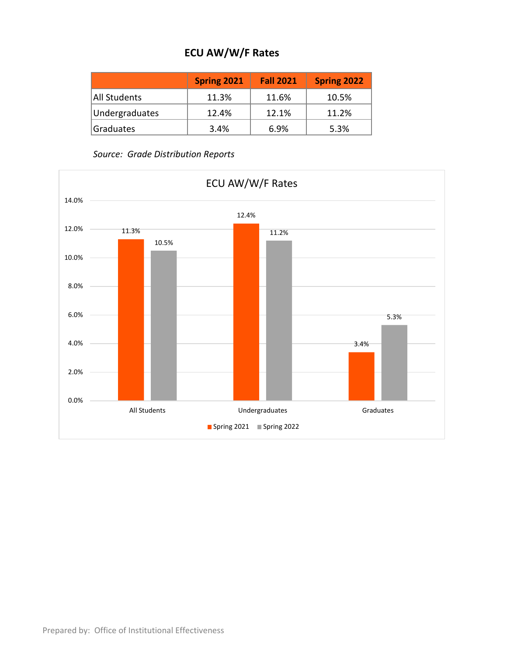## **ECU AW/W/F Rates**

|                | <b>Spring 2021</b> | <b>Fall 2021</b> | <b>Spring 2022</b> |
|----------------|--------------------|------------------|--------------------|
| All Students   | 11.3%              | 11.6%            | 10.5%              |
| Undergraduates | 12.4%              | 12.1%            | 11.2%              |
| Graduates      | 3.4%               | 6.9%             | 5.3%               |

*Source: Grade Distribution Reports*

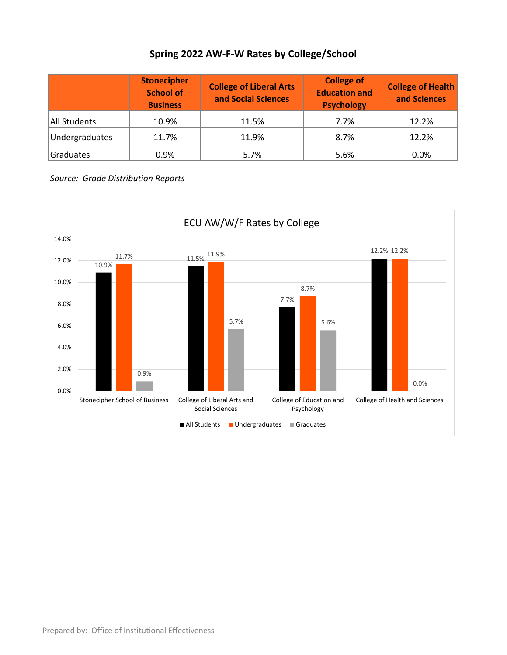## **Spring 2022 AW-F-W Rates by College/School**

|                | <b>Stonecipher</b><br><b>School of</b><br><b>Business</b> | <b>College of Liberal Arts</b><br>and Social Sciences | <b>College of</b><br><b>Education and</b><br><b>Psychology</b> | <b>College of Health</b><br>and Sciences |
|----------------|-----------------------------------------------------------|-------------------------------------------------------|----------------------------------------------------------------|------------------------------------------|
| All Students   | 10.9%                                                     | 11.5%                                                 | 7.7%                                                           | 12.2%                                    |
| Undergraduates | 11.7%                                                     | 11.9%                                                 | 8.7%                                                           | 12.2%                                    |
| Graduates      | 0.9%                                                      | 5.7%                                                  | 5.6%                                                           | 0.0%                                     |

*Source: Grade Distribution Reports*